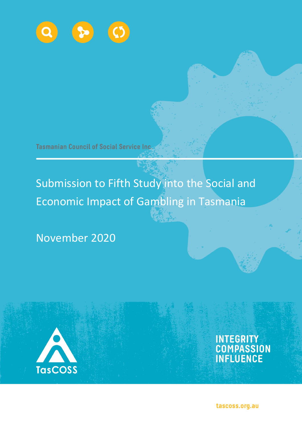

**Tasmanian Council of Social Service Inc.** 

# Submission to Fifth Study into the Social and Economic Impact of Gambling in Tasmania

November 2020



INTEGRITY<br>COMPASSION<br>INFLUENCE

tascoss.org.au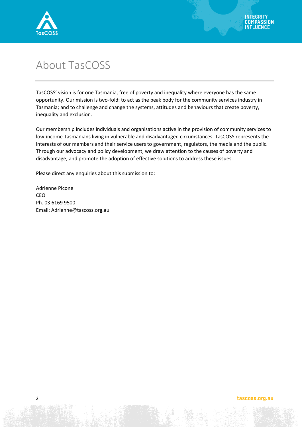

# About TasCOSS

TasCOSS' vision is for one Tasmania, free of poverty and inequality where everyone has the same opportunity. Our mission is two-fold: to act as the peak body for the community services industry in Tasmania; and to challenge and change the systems, attitudes and behaviours that create poverty, inequality and exclusion.

Our membership includes individuals and organisations active in the provision of community services to low-income Tasmanians living in vulnerable and disadvantaged circumstances. TasCOSS represents the interests of our members and their service users to government, regulators, the media and the public. Through our advocacy and policy development, we draw attention to the causes of poverty and disadvantage, and promote the adoption of effective solutions to address these issues.

Please direct any enquiries about this submission to:

Adrienne Picone CEO Ph. 03 6169 9500 Email: Adrienne@tascoss.org.au

#### tascoss.org.au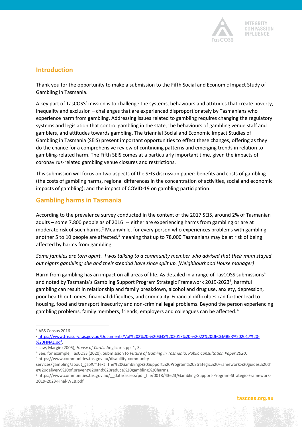

# **Introduction**

Thank you for the opportunity to make a submission to the Fifth Social and Economic Impact Study of Gambling in Tasmania.

A key part of TasCOSS' mission is to challenge the systems, behaviours and attitudes that create poverty, inequality and exclusion – challenges that are experienced disproportionately by Tasmanians who experience harm from gambling. Addressing issues related to gambling requires changing the regulatory systems and legislation that control gambling in the state, the behaviours of gambling venue staff and gamblers, and attitudes towards gambling. The triennial Social and Economic Impact Studies of Gambling in Tasmania (SEIS) present important opportunities to effect these changes, offering as they do the chance for a comprehensive review of continuing patterns and emerging trends in relation to gambling-related harm. The Fifth SEIS comes at a particularly important time, given the impacts of coronavirus-related gambling venue closures and restrictions.

This submission will focus on two aspects of the SEIS discussion paper: benefits and costs of gambling (the costs of gambling harms, regional differences in the concentration of activities, social and economic impacts of gambling); and the impact of COVID-19 on gambling participation.

# **Gambling harms in Tasmania**

According to the prevalence survey conducted in the context of the 2017 SEIS, around 2% of Tasmanian adults – some 7,800 people as of 2016<sup>1</sup> -- either are experiencing harms from gambling or are at moderate risk of such harms.<sup>2</sup> Meanwhile, for every person who experiences problems with gambling, another 5 to 10 people are affected, $3$  meaning that up to 78,000 Tasmanians may be at risk of being affected by harms from gambling.

*Some families are torn apart. I was talking to a community member who advised that their mum stayed out nights gambling; she and their stepdad have since split up. [Neighbourhood House manager]* 

Harm from gambling has an impact on all areas of life. As detailed in a range of TasCOSS submissions<sup>4</sup> and noted by Tasmania's Gambling Support Program Strategic Framework 2019-2023<sup>5</sup>, harmful gambling can result in relationship and family breakdown, alcohol and drug use, anxiety, depression, poor health outcomes, financial difficulties, and criminality. Financial difficulties can further lead to housing, food and transport insecurity and non-criminal legal problems. Beyond the person experiencing gambling problems, family members, friends, employers and colleagues can be affected. <sup>6</sup>

l

<sup>&</sup>lt;sup>1</sup> ABS Census 2016.

<sup>2</sup> [https://www.treasury.tas.gov.au/Documents/Vol%202%20-%20SEIS%202017%20-%2022%20DECEMBER%202017%20-](https://www.treasury.tas.gov.au/Documents/Vol%202%20-%20SEIS%202017%20-%2022%20DECEMBER%202017%20-%20FINAL.pdf) [%20FINAL.pdf.](https://www.treasury.tas.gov.au/Documents/Vol%202%20-%20SEIS%202017%20-%2022%20DECEMBER%202017%20-%20FINAL.pdf)

<sup>3</sup> Law, Margie (2005), *House of Cards.* Anglicare, pp. 1, 3.

<sup>4</sup> See, for example, TasCOSS (2020), Submission to *Future of Gaming in Tasmania: Public Consultation Paper 2020*. <sup>5</sup> https://www.communities.tas.gov.au/disability-community-

services/gambling/about\_gsp#:~:text=The%20Gambling%20Support%20Program%20Strategic%20Framework%20guides%20th e%20delivery%20of,prevent%20and%20reduce%20gambling%20harms.

<sup>6</sup> https://www.communities.tas.gov.au/\_\_data/assets/pdf\_file/0018/43623/Gambling-Support-Program-Strategic-Framework-2019-2023-Final-WEB.pdf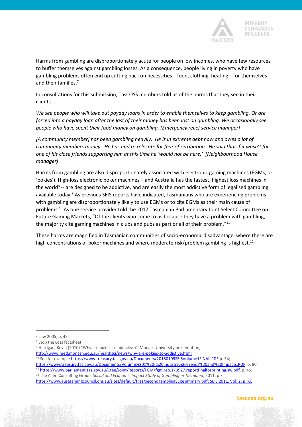

Harms from gambling are disproportionately acute for people on low incomes, who have few resources to buffer themselves against gambling losses. As a consequence, people living in poverty who have gambling problems often end up cutting back on necessities—food, clothing, heating—for themselves and their families.<sup>7</sup>

In consultations for this submission, TasCOSS members told us of the harms that they see in their clients.

*We see people who will take out payday loans in order to enable themselves to keep gambling. Or are forced into a payday loan after the last of their money has been lost on gambling. We occasionally see people who have spent their food money on gambling. [Emergency relief service manager]*

*[A community member] has been gambling heavily. He is in extreme debt now and owes a lot of community members money. He has had to relocate for fear of retribution. He said that if it wasn't for one of his close friends supporting him at this time he 'would not be here.' [Neighbourhood House manager]*

Harms from gambling are also disproportionately associated with electronic gaming machines (EGMs, or 'pokies'). High-loss electronic poker machines – and Australia has the fastest, highest loss machines in the world<sup>8</sup> -- are designed to be addictive, and are easily the most addictive form of legalised gambling available today.<sup>9</sup> As previous SEIS reports have indicated, Tasmanians who are experiencing problems with gambling are disproportionately likely to use EGMs or to cite EGMs as their main cause of problems.<sup>10</sup> As one service provider told the 2017 Tasmanian Parliamentary Joint Select Committee on Future Gaming Markets, "Of the clients who come to us because they have a problem with gambling, the majority cite gaming machines in clubs and pubs as part or all of their problem."<sup>11</sup>

These harms are magnified in Tasmanian communities of socio-economic disadvantage, where there are high concentrations of poker machines and where moderate risk/problem gambling is highest.<sup>12</sup>

 $\overline{a}$ 

- <http://www.med.monash.edu.au/healthsci/news/why-are-pokies-so-addictive.html>
- 10 See for example<https://www.treasury.tas.gov.au/Documents/20150109SEISVolume1FINAL.PDF> p. 34;

[https://www.treasury.tas.gov.au/Documents/Volume%201%20-%20Industry%20Trends%20and%20Impacts.PDF,](https://www.treasury.tas.gov.au/Documents/Volume%201%20-%20Industry%20Trends%20and%20Impacts.PDF) p. 80. <sup>11</sup> [https://www.parliament.tas.gov.au/Ctee/Joint/Reports/FGM/fgm.rep.170927.reportfinalforprinting.sw.pdf,](https://www.parliament.tas.gov.au/Ctee/Joint/Reports/FGM/fgm.rep.170927.reportfinalforprinting.sw.pdf) p. 45. <sup>12</sup> The Allen Consulting Group, *Social and Economic Impact Study of Gambling in Tasmania*, 2011, p 7

<sup>7</sup> Law 2005, p. 43.

<sup>8</sup> Stop the Loss factsheet.

<sup>9</sup> Harrigan, Kevin (2010) "Why are pokies so addictive?" Monash University presentation,

[https://www.austgamingcouncil.org.au/sites/default/files/secondgamblingSEISsummary.pdf;](https://www.austgamingcouncil.org.au/sites/default/files/secondgamblingSEISsummary.pdf) SEIS 2011, Vol. 2, p. Xi.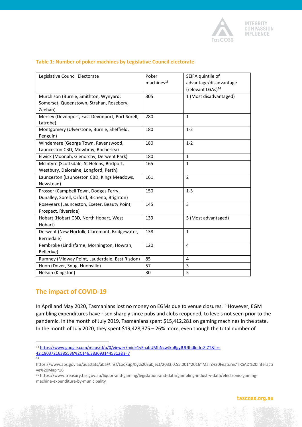

| Legislative Council Electorate                  | Poker<br>machines <sup>13</sup> | SEIFA quintile of<br>advantage/disadvantage<br>(relevant LGAs) <sup>14</sup> |  |
|-------------------------------------------------|---------------------------------|------------------------------------------------------------------------------|--|
| Murchison (Burnie, Smithton, Wynyard,           | 305                             | 1 (Most disadvantaged)                                                       |  |
| Somerset, Queenstown, Strahan, Rosebery,        |                                 |                                                                              |  |
| Zeehan)                                         |                                 |                                                                              |  |
| Mersey (Devonport, East Devonport, Port Sorell, | 280                             | $\mathbf{1}$                                                                 |  |
| Latrobe)                                        |                                 |                                                                              |  |
| Montgomery (Ulverstone, Burnie, Sheffield,      | 180<br>$1 - 2$                  |                                                                              |  |
| Penguin)                                        |                                 |                                                                              |  |
| Windemere (George Town, Ravenswood,             | 180                             | $1 - 2$                                                                      |  |
| Launceston CBD, Mowbray, Rocherlea)             |                                 |                                                                              |  |
| Elwick (Moonah, Glenorchy, Derwent Park)        | 180                             | $\mathbf{1}$                                                                 |  |
| McIntyre (Scottsdale, St Helens, Bridport,      | 165                             | $1\,$                                                                        |  |
| Westbury, Deloraine, Longford, Perth)           |                                 |                                                                              |  |
| Launceston (Launceston CBD, Kings Meadows,      | 161                             | $\overline{2}$                                                               |  |
| Newstead)                                       |                                 |                                                                              |  |
| Prosser (Campbell Town, Dodges Ferry,           | 150                             | $1 - 3$                                                                      |  |
| Dunalley, Sorell, Orford, Bicheno, Brighton)    |                                 |                                                                              |  |
| Rosevears (Launceston, Exeter, Beauty Point,    | 3<br>145                        |                                                                              |  |
| Prospect, Riverside)                            |                                 |                                                                              |  |
| Hobart (Hobart CBD, North Hobart, West          | 139                             | 5 (Most advantaged)                                                          |  |
| Hobart)                                         |                                 |                                                                              |  |
| Derwent (New Norfolk, Claremont, Bridgewater,   | 138                             | $\mathbf{1}$                                                                 |  |
| Berriedale)                                     |                                 |                                                                              |  |
| Pembroke (Lindisfarne, Mornington, Howrah,      | 120                             | $\overline{4}$                                                               |  |
| Bellerive)                                      |                                 |                                                                              |  |
| Rumney (Midway Point, Lauderdale, East Risdon)  | 85                              | $\overline{4}$                                                               |  |
| Huon (Dover, Snug, Huonville)                   | 57                              | 3                                                                            |  |
| Nelson (Kingston)                               | 30                              | 5                                                                            |  |

#### **Table 1: Number of poker machines by Legislative Council electorate**

# **The impact of COVID-19**

In April and May 2020, Tasmanians lost no money on EGMs due to venue closures.<sup>15</sup> However, EGM gambling expenditures have risen sharply since pubs and clubs reopened, to levels not seen prior to the pandemic. In the month of July 2019, Tasmanians spent \$15,412,281 on gaming machines in the state. In the month of July 2020, they spent \$19,428,375 – 26% more, even though the total number of

l 13 [https://www.google.com/maps/d/u/0/viewer?mid=1vEnabUMhNcwJkuBgyJUUfhdIodrsZtZT&ll=-](https://www.google.com/maps/d/u/0/viewer?mid=1vEnabUMhNcwJkuBgyJUUfhdIodrsZtZT&ll=-42.18037216385536%2C146.3836931445312&z=7) [42.18037216385536%2C146.3836931445312&z=7](https://www.google.com/maps/d/u/0/viewer?mid=1vEnabUMhNcwJkuBgyJUUfhdIodrsZtZT&ll=-42.18037216385536%2C146.3836931445312&z=7) 14

https://www.abs.gov.au/ausstats/abs@.nsf/Lookup/by%20Subject/2033.0.55.001~2016~Main%20Features~IRSAD%20Interacti ve%20Map~16

<sup>15</sup> https://www.treasury.tas.gov.au/liquor-and-gaming/legislation-and-data/gambling-industry-data/electronic-gamingmachine-expenditure-by-municipality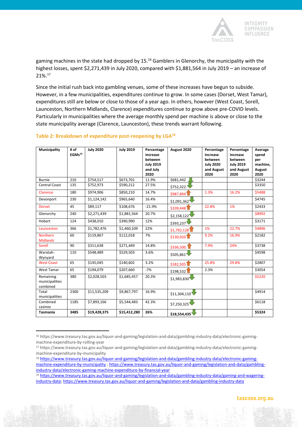

gaming machines in the state had dropped by 15.<sup>16</sup> Gamblers in Glenorchy, the municipality with the highest losses, spent \$2,271,439 in July 2020, compared with \$1,881,564 in July 2019 – an increase of 21%.<sup>17</sup>

Since the initial rush back into gambling venues, some of these increases have begun to subside. However, in a few municipalities, expenditures continue to grow. In some cases (Dorset, West Tamar), expenditures still are below or close to those of a year ago. In others, however (West Coast, Sorell, Launceston, Northern Midlands, Clarence) expenditures continue to grow above pre-COVID levels. Particularly in municipalities where the average monthly spend per machine is above or close to the state municipality average (Clarence, Launceston), these trends warrant following.

| <b>Municipality</b>                     | # of<br>EGMs <sup>19</sup> | <b>July 2020</b> | <b>July 2019</b> | Percentage<br>increase<br>between<br><b>July 2019</b><br>and July<br>2020 | August 2020             | Percentage<br>increase<br>between<br><b>July 2020</b><br>and August<br>2020 | Percentage<br>increase<br>between<br><b>July 2019</b><br>and August<br>2020 | Average<br>spend<br>per<br>machine,<br>August<br>2020 |
|-----------------------------------------|----------------------------|------------------|------------------|---------------------------------------------------------------------------|-------------------------|-----------------------------------------------------------------------------|-----------------------------------------------------------------------------|-------------------------------------------------------|
| <b>Burnie</b>                           | 210                        | \$754,517        | \$673,701        | 11.9%                                                                     | \$681,442               |                                                                             |                                                                             | \$3244                                                |
| <b>Central Coast</b>                    | 135                        | \$752,973        | \$590,212        | 27.5%                                                                     | \$752,322.              |                                                                             |                                                                             | \$3350                                                |
| Clarence                                | 180                        | \$974,906        | \$850,210        | 14.7%                                                                     | \$987,8941              | 1.3%                                                                        | 16.2%                                                                       | \$5488                                                |
| Devonport                               | 230                        | \$1,124,142      | \$965,640        | 16.4%                                                                     | \$1,091,362             |                                                                             |                                                                             | \$4745                                                |
| <b>Dorset</b>                           | 45                         | \$89,117         | \$108,676        | $-21.9%$                                                                  | \$109,448               | 22.8%                                                                       | 1%                                                                          | \$2433                                                |
| Glenorchy                               | 240                        | \$2,271,439      | \$1,881,564      | 20.7%                                                                     | \$2,158,122             |                                                                             |                                                                             | \$8992                                                |
| Hobart                                  | 124                        | \$438,010        | \$390,990        | 12%                                                                       | \$393,237               |                                                                             |                                                                             | \$3171                                                |
| Launceston                              | 366                        | \$1,782,476      | \$1,460,109      | 22%                                                                       | \$1,792,128             | 1%                                                                          | 22.7%                                                                       | \$4896                                                |
| <b>Northern</b><br><b>Midlands</b>      | 60                         | \$119,867        | \$112,018        | 7%                                                                        | \$130,920               | 9.2%                                                                        | 16.9%                                                                       | \$2182                                                |
| Sorell                                  | 90                         | \$311,638        | \$271,449        | 14.8%                                                                     | \$336,500.              | 7.9%                                                                        | 24%                                                                         | \$3738                                                |
| Waratah-<br>Wynyard                     | 110                        | \$548,489        | \$529,503        | 3.6%                                                                      | \$505,861               |                                                                             |                                                                             | \$4598                                                |
| <b>West Coast</b>                       | 65                         | \$145,045        | \$140,602        | 3.2%                                                                      | $$182,505$ <sup>1</sup> | 25.8%                                                                       | 29.8%                                                                       | \$2807                                                |
| <b>West Tamar</b>                       | 65                         | \$194,079        | \$207,660        | $-7%$                                                                     | \$198,5321              | 2.3%                                                                        |                                                                             | \$3054                                                |
| Remaining<br>municipalities<br>combined | 380                        | \$2,028,503      | \$1,685,457      | 20.3%                                                                     | \$1,983,830             |                                                                             |                                                                             | \$5220                                                |
| Total<br>municipalities                 | 2300                       | \$11,535,209     | \$9,867,797      | 16.9%                                                                     | \$11,304,110            |                                                                             |                                                                             | \$4914                                                |
| Combined<br>casinos                     | 1185                       | \$7,893,166      | \$5,544,483      | 42.3%                                                                     | \$7,250,325             |                                                                             |                                                                             | \$6118                                                |
| <b>Tasmania</b>                         | 3485                       | \$19,428,375     | \$15,412,280     | 26%                                                                       | \$18,554,435            |                                                                             |                                                                             | \$5324                                                |

#### **Table 2: Breakdown of expenditure post-reopening by LGA<sup>18</sup>**

<sup>16</sup> https://www.treasury.tas.gov.au/liquor-and-gaming/legislation-and-data/gambling-industry-data/electronic-gamingmachine-expenditure-by-rolling-year

<sup>17</sup> https://www.treasury.tas.gov.au/liquor-and-gaming/legislation-and-data/gambling-industry-data/electronic-gamingmachine-expenditure-by-municipality

<sup>18</sup> [https://www.treasury.tas.gov.au/liquor-and-gaming/legislation-and-data/gambling-industry-data/electronic-gaming](https://www.treasury.tas.gov.au/liquor-and-gaming/legislation-and-data/gambling-industry-data/electronic-gaming-machine-expenditure-by-municipality)[machine-expenditure-by-municipality](https://www.treasury.tas.gov.au/liquor-and-gaming/legislation-and-data/gambling-industry-data/electronic-gaming-machine-expenditure-by-municipality) [; https://www.treasury.tas.gov.au/liquor-and-gaming/legislation-and-data/gambling](https://www.treasury.tas.gov.au/liquor-and-gaming/legislation-and-data/gambling-industry-data/electronic-gaming-machine-expenditure-by-financial-year)[industry-data/electronic-gaming-machine-expenditure-by-financial-year](https://www.treasury.tas.gov.au/liquor-and-gaming/legislation-and-data/gambling-industry-data/electronic-gaming-machine-expenditure-by-financial-year)

<sup>19</sup> [https://www.treasury.tas.gov.au/liquor-and-gaming/legislation-and-data/gambling-industry-data/gaming-and-wagering](https://www.treasury.tas.gov.au/liquor-and-gaming/legislation-and-data/gambling-industry-data/gaming-and-wagering-industry-data)[industry-data;](https://www.treasury.tas.gov.au/liquor-and-gaming/legislation-and-data/gambling-industry-data/gaming-and-wagering-industry-data)<https://www.treasury.tas.gov.au/liquor-and-gaming/legislation-and-data/gambling-industry-data>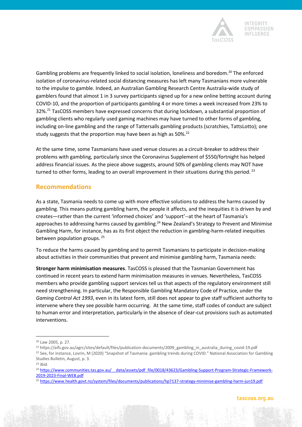

Gambling problems are frequently linked to social isolation, loneliness and boredom.<sup>20</sup> The enforced isolation of coronavirus-related social distancing measures has left many Tasmanians more vulnerable to the impulse to gamble. Indeed, an Australian Gambling Research Centre Australia-wide study of gamblers found that almost 1 in 3 survey participants signed up for a new online betting account during COVID-10, and the proportion of participants gambling 4 or more times a week increased from 23% to 32%.<sup>21</sup> TasCOSS members have expressed concerns that during lockdown, a substantial proportion of gambling clients who regularly used gaming machines may have turned to other forms of gambling, including on-line gambling and the range of Tattersalls gambling products (scratchies, TattsLotto); one study suggests that the proportion may have been as high as 50%.<sup>22</sup>

At the same time, some Tasmanians have used venue closures as a circuit-breaker to address their problems with gambling, particularly since the Coronavirus Supplement of \$550/fortnight has helped address financial issues. As the piece above suggests, around 50% of gambling clients may NOT have turned to other forms, leading to an overall improvement in their situations during this period.<sup>23</sup>

# **Recommendations**

As a state, Tasmania needs to come up with more effective solutions to address the harms caused by gambling. This means putting gambling harm, the people it affects, and the inequities it is driven by and creates—rather than the current 'informed choices' and 'support'--at the heart of Tasmania's approaches to addressing harms caused by gambling.<sup>24</sup> New Zealand's Strategy to Prevent and Minimise Gambling Harm, for instance, has as its first object the reduction in gambling-harm-related inequities between population groups.<sup>25</sup>

To reduce the harms caused by gambling and to permit Tasmanians to participate in decision-making about activities in their communities that prevent and minimise gambling harm, Tasmania needs:

**Stronger harm minimisation measures**. TasCOSS is pleased that the Tasmanian Government has continued in recent years to extend harm minimisation measures in venues. Nevertheless, TasCOSS members who provide gambling support services tell us that aspects of the regulatory environment still need strengthening. In particular, the Responsible Gambling Mandatory Code of Practice, under the *Gaming Control Act 1993*, even in its latest form, still does not appear to give staff sufficient authority to intervene where they see possible harm occurring. At the same time, staff codes of conduct are subject to human error and interpretation, particularly in the absence of clear-cut provisions such as automated interventions.

<sup>20</sup> Law 2005, p. 27.

<sup>&</sup>lt;sup>21</sup> https://aifs.gov.au/agrc/sites/default/files/publication-documents/2009\_gambling\_in\_australia\_during\_covid-19.pdf

<sup>&</sup>lt;sup>22</sup> See, for instance, Lovrin, M (2020) "Snapshot of Tasmania: gambling trends during COVID." National Association for Gambling Studies Bulletin, August, p. 3.

<sup>23</sup> *Ibid.*

<sup>&</sup>lt;sup>24</sup> https://www.communities.tas.gov.au/ data/assets/pdf file/0018/43623/Gambling-Support-Program-Strategic-Framework-[2019-2023-Final-WEB.pdf](https://www.communities.tas.gov.au/__data/assets/pdf_file/0018/43623/Gambling-Support-Program-Strategic-Framework-2019-2023-Final-WEB.pdf)

<sup>25</sup> <https://www.health.govt.nz/system/files/documents/publications/hp7137-strategy-minimise-gambling-harm-jun19.pdf>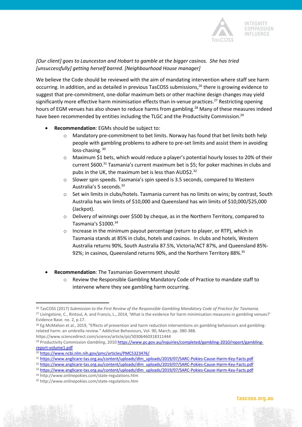

#### *[Our client] goes to Launceston and Hobart to gamble at the bigger casinos. She has tried [unsuccessfully] getting herself barred. [Neighbourhood House manager]*

We believe the Code should be reviewed with the aim of mandating intervention where staff see harm occurring. In addition, and as detailed in previous TasCOSS submissions,<sup>26</sup> there is growing evidence to suggest that pre-commitment, one-dollar maximum bets or other machine design changes may yield significantly more effective harm minimisation effects than in-venue practices. <sup>27</sup> Restricting opening hours of EGM venues has also shown to reduce harms from gambling.<sup>28</sup> Many of these measures indeed have been recommended by entities including the TLGC and the Productivity Commission.<sup>29</sup>

- **Recommendation**: EGMs should be subject to:
	- o Mandatory pre-commitment to bet limits. Norway has found that bet limits both help people with gambling problems to adhere to pre-set limits and assist them in avoiding loss-chasing. 30
	- o Maximum \$1 bets, which would reduce a player's potential hourly losses to 20% of their current \$600. <sup>31</sup> Tasmania's current maximum bet is \$5; for poker machines in clubs and pubs in the UK, the maximum bet is less than AUD\$2.<sup>32</sup>
	- $\circ$  Slower spin speeds. Tasmania's spin speed is 3.5 seconds, compared to Western Australia's 5 seconds.<sup>33</sup>
	- o Set win limits in clubs/hotels. Tasmania current has no limits on wins; by contrast, South Australia has win limits of \$10,000 and Queensland has win limits of \$10,000/\$25,000 (Jackpot).
	- $\circ$  Delivery of winnings over \$500 by cheque, as in the Northern Territory, compared to Tasmania's \$1000.<sup>34</sup>
	- o Increase in the minimum payout percentage (return to player, or RTP), which in Tasmania stands at 85% in clubs, hotels and casinos. In clubs and hotels, Western Australia returns 90%, South Australia 87.5%, Victoria/ACT 87%, and Queensland 85%- 92%; in casinos, Queensland returns 90%, and the Northern Territory 88%.<sup>35</sup>
- **Recommendation**: The Tasmanian Government should:
	- o Review the Responsible Gambling Mandatory Code of Practice to mandate staff to intervene where they see gambling harm occurring.

https://www.sciencedirect.com/science/article/pii/S0306460318311444

<sup>26</sup> TasCOSS (2017) *Submission to the First Review of the Responsible Gambling Mandatory Code of Practice for Tasmania.*  <sup>27</sup> Livingstone, C., Rintoul, A. and Francis, L., 2014, 'What is the evidence for harm minimisation measures in gambling venues?' Evidence Base. no. 2, p.17.

<sup>&</sup>lt;sup>28</sup> Eg McMahon et al., 2019, "Effects of prevention and harm reduction interventions on gambling behaviours and gamblingrelated harm: an umbrella review." Addictive Behaviours, Vol. 90, March, pp. 380-388.

<sup>29</sup> Productivity Commission *Gambling*, 2010 [https://www.pc.gov.au/inquiries/completed/gambling-2010/report/gambling](https://www.pc.gov.au/inquiries/completed/gambling-2010/report/gambling-report-volume1.pdf)[report-volume1.pdf](https://www.pc.gov.au/inquiries/completed/gambling-2010/report/gambling-report-volume1.pdf)

<sup>30</sup> <https://www.ncbi.nlm.nih.gov/pmc/articles/PMC5323476/>

<sup>31</sup> [https://www.anglicare-tas.org.au/content/uploads/dlm\\_uploads/2019/07/SARC-Pokies-Cause-Harm-Key-Facts.pdf](https://www.anglicare-tas.org.au/content/uploads/dlm_uploads/2019/07/SARC-Pokies-Cause-Harm-Key-Facts.pdf)

<sup>32</sup> [https://www.anglicare-tas.org.au/content/uploads/dlm\\_uploads/2019/07/SARC-Pokies-Cause-Harm-Key-Facts.pdf](https://www.anglicare-tas.org.au/content/uploads/dlm_uploads/2019/07/SARC-Pokies-Cause-Harm-Key-Facts.pdf)

<sup>33</sup> [https://www.anglicare-tas.org.au/content/uploads/dlm\\_uploads/2019/07/SARC-Pokies-Cause-Harm-Key-Facts.pdf](https://www.anglicare-tas.org.au/content/uploads/dlm_uploads/2019/07/SARC-Pokies-Cause-Harm-Key-Facts.pdf)

<sup>34</sup> http://www.onlinepokies.com/state-regulations.htm

<sup>35</sup> http://www.onlinepokies.com/state-regulations.htm